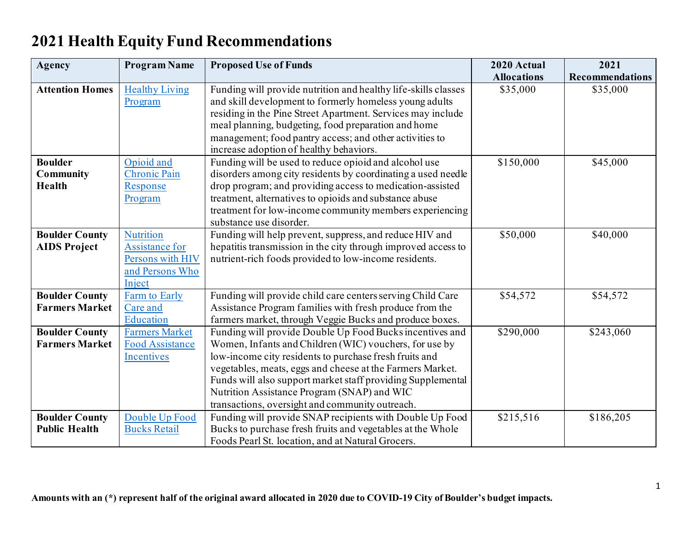## **2021 Health Equity Fund Recommendations**

| <b>Agency</b>          | <b>Program Name</b>    | <b>Proposed Use of Funds</b>                                   | 2020 Actual        | 2021                   |
|------------------------|------------------------|----------------------------------------------------------------|--------------------|------------------------|
|                        |                        |                                                                | <b>Allocations</b> | <b>Recommendations</b> |
| <b>Attention Homes</b> | <b>Healthy Living</b>  | Funding will provide nutrition and healthy life-skills classes | \$35,000           | \$35,000               |
|                        | Program                | and skill development to formerly homeless young adults        |                    |                        |
|                        |                        | residing in the Pine Street Apartment. Services may include    |                    |                        |
|                        |                        | meal planning, budgeting, food preparation and home            |                    |                        |
|                        |                        | management; food pantry access; and other activities to        |                    |                        |
|                        |                        | increase adoption of healthy behaviors.                        |                    |                        |
| <b>Boulder</b>         | Opioid and             | Funding will be used to reduce opioid and alcohol use          | \$150,000          | \$45,000               |
| <b>Community</b>       | <b>Chronic Pain</b>    | disorders among city residents by coordinating a used needle   |                    |                        |
| Health                 | Response               | drop program; and providing access to medication-assisted      |                    |                        |
|                        | Program                | treatment, alternatives to opioids and substance abuse         |                    |                        |
|                        |                        | treatment for low-income community members experiencing        |                    |                        |
|                        |                        | substance use disorder.                                        |                    |                        |
| <b>Boulder County</b>  | <b>Nutrition</b>       | Funding will help prevent, suppress, and reduce HIV and        | \$50,000           | \$40,000               |
| <b>AIDS Project</b>    | Assistance for         | hepatitis transmission in the city through improved access to  |                    |                        |
|                        | Persons with HIV       | nutrient-rich foods provided to low-income residents.          |                    |                        |
|                        | and Persons Who        |                                                                |                    |                        |
|                        | Inject                 |                                                                |                    |                        |
| <b>Boulder County</b>  | Farm to Early          | Funding will provide child care centers serving Child Care     | \$54,572           | \$54,572               |
| <b>Farmers Market</b>  | Care and               | Assistance Program families with fresh produce from the        |                    |                        |
|                        | Education              | farmers market, through Veggie Bucks and produce boxes.        |                    |                        |
| <b>Boulder County</b>  | <b>Farmers Market</b>  | Funding will provide Double Up Food Bucks incentives and       | \$290,000          | \$243,060              |
| <b>Farmers Market</b>  | <b>Food Assistance</b> | Women, Infants and Children (WIC) vouchers, for use by         |                    |                        |
|                        | <b>Incentives</b>      | low-income city residents to purchase fresh fruits and         |                    |                        |
|                        |                        | vegetables, meats, eggs and cheese at the Farmers Market.      |                    |                        |
|                        |                        | Funds will also support market staff providing Supplemental    |                    |                        |
|                        |                        | Nutrition Assistance Program (SNAP) and WIC                    |                    |                        |
|                        |                        | transactions, oversight and community outreach.                |                    |                        |
| <b>Boulder County</b>  | Double Up Food         | Funding will provide SNAP recipients with Double Up Food       | \$215,516          | \$186,205              |
| <b>Public Health</b>   | <b>Bucks Retail</b>    | Bucks to purchase fresh fruits and vegetables at the Whole     |                    |                        |
|                        |                        | Foods Pearl St. location, and at Natural Grocers.              |                    |                        |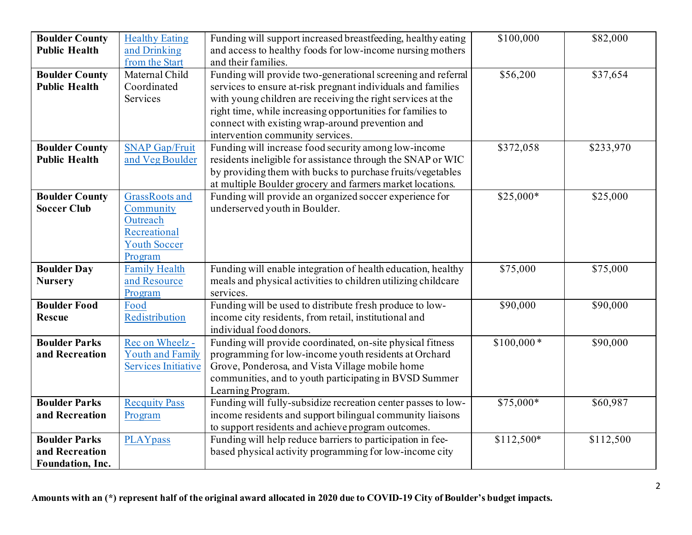| <b>Boulder County</b><br><b>Public Health</b>                     | <b>Healthy Eating</b><br>and Drinking<br>from the Start                                          | Funding will support increased breastfeeding, healthy eating<br>and access to healthy foods for low-income nursing mothers<br>and their families.                                                                                                                                                                                                 | \$100,000        | \$82,000  |
|-------------------------------------------------------------------|--------------------------------------------------------------------------------------------------|---------------------------------------------------------------------------------------------------------------------------------------------------------------------------------------------------------------------------------------------------------------------------------------------------------------------------------------------------|------------------|-----------|
| <b>Boulder County</b><br><b>Public Health</b>                     | Maternal Child<br>Coordinated<br>Services                                                        | Funding will provide two-generational screening and referral<br>services to ensure at-risk pregnant individuals and families<br>with young children are receiving the right services at the<br>right time, while increasing opportunities for families to<br>connect with existing wrap-around prevention and<br>intervention community services. | \$56,200         | \$37,654  |
| <b>Boulder County</b><br><b>Public Health</b>                     | <b>SNAP Gap/Fruit</b><br>and Veg Boulder                                                         | Funding will increase food security among low-income<br>residents ineligible for assistance through the SNAP or WIC<br>by providing them with bucks to purchase fruits/vegetables<br>at multiple Boulder grocery and farmers market locations.                                                                                                    | \$372,058        | \$233,970 |
| <b>Boulder County</b><br><b>Soccer Club</b>                       | <b>GrassRoots</b> and<br>Community<br>Outreach<br>Recreational<br><b>Youth Soccer</b><br>Program | Funding will provide an organized soccer experience for<br>underserved youth in Boulder.                                                                                                                                                                                                                                                          | $$25,000*$       | \$25,000  |
| <b>Boulder Day</b><br><b>Nursery</b>                              | <b>Family Health</b><br>and Resource<br>Program                                                  | Funding will enable integration of health education, healthy<br>meals and physical activities to children utilizing childcare<br>services.                                                                                                                                                                                                        | \$75,000         | \$75,000  |
| <b>Boulder Food</b><br><b>Rescue</b>                              | Food<br>Redistribution                                                                           | Funding will be used to distribute fresh produce to low-<br>income city residents, from retail, institutional and<br>individual food donors.                                                                                                                                                                                                      | $\sqrt{$90,000}$ | \$90,000  |
| <b>Boulder Parks</b><br>and Recreation                            | Rec on Wheelz -<br><b>Youth and Family</b><br><b>Services Initiative</b>                         | Funding will provide coordinated, on-site physical fitness<br>programming for low-income youth residents at Orchard<br>Grove, Ponderosa, and Vista Village mobile home<br>communities, and to youth participating in BVSD Summer<br>Learning Program.                                                                                             | $$100,000*$      | \$90,000  |
| <b>Boulder Parks</b><br>and Recreation                            | <b>Recquity Pass</b><br>Program                                                                  | Funding will fully-subsidize recreation center passes to low-<br>income residents and support bilingual community liaisons<br>to support residents and achieve program outcomes.                                                                                                                                                                  | $$75,000*$       | \$60,987  |
| <b>Boulder Parks</b><br>and Recreation<br><b>Foundation, Inc.</b> | <b>PLAYpass</b>                                                                                  | Funding will help reduce barriers to participation in fee-<br>based physical activity programming for low-income city                                                                                                                                                                                                                             | \$112,500*       | \$112,500 |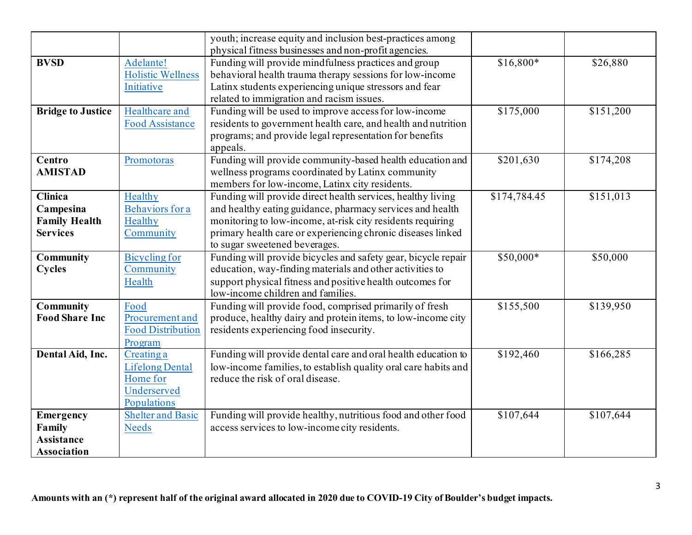|                                                                        |                                                                                | youth; increase equity and inclusion best-practices among<br>physical fitness businesses and non-profit agencies.                                                                                                                                                                      |              |           |
|------------------------------------------------------------------------|--------------------------------------------------------------------------------|----------------------------------------------------------------------------------------------------------------------------------------------------------------------------------------------------------------------------------------------------------------------------------------|--------------|-----------|
| <b>BVSD</b>                                                            | Adelante!<br><b>Holistic Wellness</b><br>Initiative                            | Funding will provide mindfulness practices and group<br>behavioral health trauma therapy sessions for low-income<br>Latinx students experiencing unique stressors and fear<br>related to immigration and racism issues.                                                                | $$16,800*$   | \$26,880  |
| <b>Bridge to Justice</b>                                               | Healthcare and<br><b>Food Assistance</b>                                       | Funding will be used to improve access for low-income<br>residents to government health care, and health and nutrition<br>programs; and provide legal representation for benefits<br>appeals.                                                                                          | \$175,000    | \$151,200 |
| Centro<br><b>AMISTAD</b>                                               | Promotoras                                                                     | Funding will provide community-based health education and<br>wellness programs coordinated by Latinx community<br>members for low-income, Latinx city residents.                                                                                                                       | \$201,630    | \$174,208 |
| <b>Clinica</b><br>Campesina<br><b>Family Health</b><br><b>Services</b> | Healthy<br>Behaviors for a<br>Healthy<br>Community                             | Funding will provide direct health services, healthy living<br>and healthy eating guidance, pharmacy services and health<br>monitoring to low-income, at-risk city residents requiring<br>primary health care or experiencing chronic diseases linked<br>to sugar sweetened beverages. | \$174,784.45 | \$151,013 |
| <b>Community</b><br><b>Cycles</b>                                      | <b>Bicycling for</b><br>Community<br>Health                                    | Funding will provide bicycles and safety gear, bicycle repair<br>education, way-finding materials and other activities to<br>support physical fitness and positive health outcomes for<br>low-income children and families.                                                            | $$50,000*$   | \$50,000  |
| <b>Community</b><br><b>Food Share Inc</b>                              | Food<br>Procurement and<br><b>Food Distribution</b><br>Program                 | Funding will provide food, comprised primarily of fresh<br>produce, healthy dairy and protein items, to low-income city<br>residents experiencing food insecurity.                                                                                                                     | \$155,500    | \$139,950 |
| Dental Aid, Inc.                                                       | Creating a<br><b>Lifelong Dental</b><br>Home for<br>Underserved<br>Populations | Funding will provide dental care and oral health education to<br>low-income families, to establish quality oral care habits and<br>reduce the risk of oral disease.                                                                                                                    | \$192,460    | \$166,285 |
| Emergency<br>Family<br><b>Assistance</b><br><b>Association</b>         | <b>Shelter and Basic</b><br><b>Needs</b>                                       | Funding will provide healthy, nutritious food and other food<br>access services to low-income city residents.                                                                                                                                                                          | \$107,644    | \$107,644 |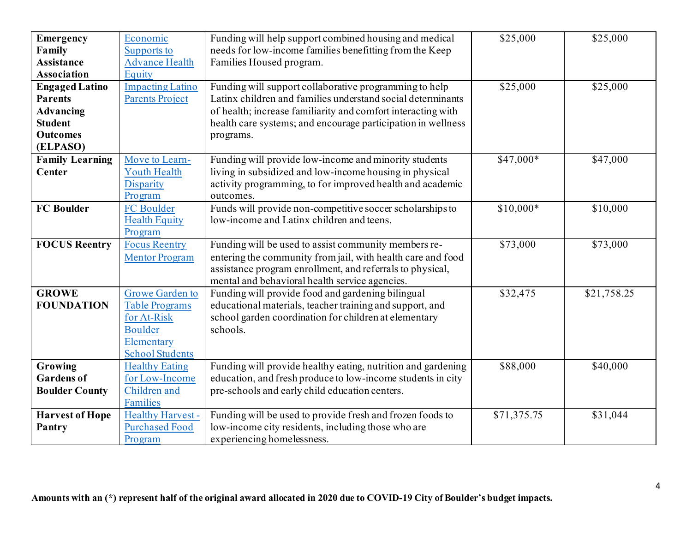| <b>Emergency</b>       | Economic                | Funding will help support combined housing and medical       | \$25,000    | \$25,000    |
|------------------------|-------------------------|--------------------------------------------------------------|-------------|-------------|
|                        |                         | needs for low-income families benefitting from the Keep      |             |             |
| Family                 | Supports to             |                                                              |             |             |
| <b>Assistance</b>      | <b>Advance Health</b>   | Families Housed program.                                     |             |             |
| <b>Association</b>     | Equity                  |                                                              |             |             |
| <b>Engaged Latino</b>  | <b>Impacting Latino</b> | Funding will support collaborative programming to help       | \$25,000    | \$25,000    |
| <b>Parents</b>         | <b>Parents Project</b>  | Latinx children and families understand social determinants  |             |             |
| <b>Advancing</b>       |                         | of health; increase familiarity and comfort interacting with |             |             |
| <b>Student</b>         |                         | health care systems; and encourage participation in wellness |             |             |
| <b>Outcomes</b>        |                         | programs.                                                    |             |             |
| (ELPASO)               |                         |                                                              |             |             |
| <b>Family Learning</b> | Move to Learn-          | Funding will provide low-income and minority students        | $$47,000*$  | \$47,000    |
| <b>Center</b>          | <b>Youth Health</b>     | living in subsidized and low-income housing in physical      |             |             |
|                        | Disparity               | activity programming, to for improved health and academic    |             |             |
|                        | Program                 | outcomes.                                                    |             |             |
| <b>FC Boulder</b>      | FC Boulder              | Funds will provide non-competitive soccer scholarships to    | $$10,000*$  | \$10,000    |
|                        | <b>Health Equity</b>    | low-income and Latinx children and teens.                    |             |             |
|                        | Program                 |                                                              |             |             |
| <b>FOCUS Reentry</b>   | <b>Focus Reentry</b>    | Funding will be used to assist community members re-         | \$73,000    | \$73,000    |
|                        | <b>Mentor Program</b>   | entering the community from jail, with health care and food  |             |             |
|                        |                         | assistance program enrollment, and referrals to physical,    |             |             |
|                        |                         | mental and behavioral health service agencies.               |             |             |
| <b>GROWE</b>           | <b>Growe Garden to</b>  | Funding will provide food and gardening bilingual            | \$32,475    | \$21,758.25 |
| <b>FOUNDATION</b>      | <b>Table Programs</b>   | educational materials, teacher training and support, and     |             |             |
|                        | for At-Risk             | school garden coordination for children at elementary        |             |             |
|                        | <b>Boulder</b>          | schools.                                                     |             |             |
|                        | Elementary              |                                                              |             |             |
|                        | <b>School Students</b>  |                                                              |             |             |
| Growing                | <b>Healthy Eating</b>   | Funding will provide healthy eating, nutrition and gardening | \$88,000    | \$40,000    |
| <b>Gardens of</b>      |                         |                                                              |             |             |
|                        | for Low-Income          | education, and fresh produce to low-income students in city  |             |             |
| <b>Boulder County</b>  | Children and            | pre-schools and early child education centers.               |             |             |
|                        | Families                |                                                              |             |             |
| <b>Harvest of Hope</b> | <b>Healthy Harvest-</b> | Funding will be used to provide fresh and frozen foods to    | \$71,375.75 | \$31,044    |
| Pantry                 | <b>Purchased Food</b>   | low-income city residents, including those who are           |             |             |
|                        | Program                 | experiencing homelessness.                                   |             |             |